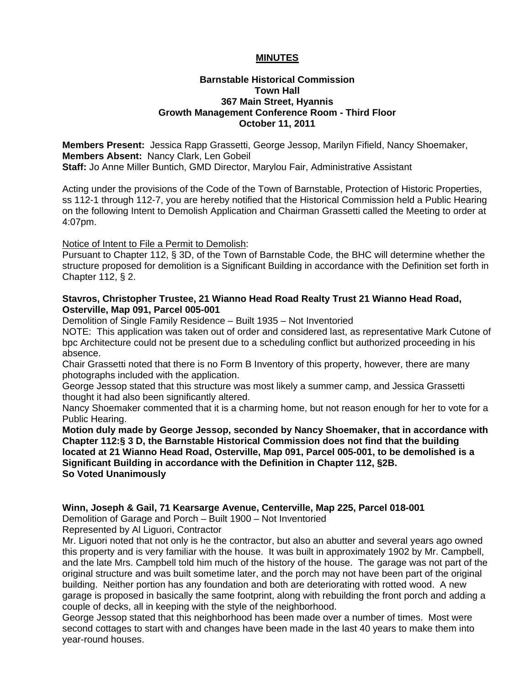# **MINUTES**

### **Barnstable Historical Commission Town Hall 367 Main Street, Hyannis Growth Management Conference Room - Third Floor October 11, 2011**

**Members Present:** Jessica Rapp Grassetti, George Jessop, Marilyn Fifield, Nancy Shoemaker, **Members Absent:** Nancy Clark, Len Gobeil **Staff:** Jo Anne Miller Buntich, GMD Director, Marylou Fair, Administrative Assistant

Acting under the provisions of the Code of the Town of Barnstable, Protection of Historic Properties, ss 112-1 through 112-7, you are hereby notified that the Historical Commission held a Public Hearing on the following Intent to Demolish Application and Chairman Grassetti called the Meeting to order at 4:07pm.

Notice of Intent to File a Permit to Demolish:

Pursuant to Chapter 112, § 3D, of the Town of Barnstable Code, the BHC will determine whether the structure proposed for demolition is a Significant Building in accordance with the Definition set forth in Chapter 112, § 2.

# **Stavros, Christopher Trustee, 21 Wianno Head Road Realty Trust 21 Wianno Head Road, Osterville, Map 091, Parcel 005-001**

Demolition of Single Family Residence – Built 1935 – Not Inventoried

NOTE: This application was taken out of order and considered last, as representative Mark Cutone of bpc Architecture could not be present due to a scheduling conflict but authorized proceeding in his absence.

Chair Grassetti noted that there is no Form B Inventory of this property, however, there are many photographs included with the application.

George Jessop stated that this structure was most likely a summer camp, and Jessica Grassetti thought it had also been significantly altered.

Nancy Shoemaker commented that it is a charming home, but not reason enough for her to vote for a Public Hearing.

**Motion duly made by George Jessop, seconded by Nancy Shoemaker, that in accordance with Chapter 112:§ 3 D, the Barnstable Historical Commission does not find that the building located at 21 Wianno Head Road, Osterville, Map 091, Parcel 005-001, to be demolished is a Significant Building in accordance with the Definition in Chapter 112, §2B. So Voted Unanimously** 

**Winn, Joseph & Gail, 71 Kearsarge Avenue, Centerville, Map 225, Parcel 018-001** 

Demolition of Garage and Porch – Built 1900 – Not Inventoried Represented by Al Liguori, Contractor

Mr. Liguori noted that not only is he the contractor, but also an abutter and several years ago owned this property and is very familiar with the house. It was built in approximately 1902 by Mr. Campbell, and the late Mrs. Campbell told him much of the history of the house. The garage was not part of the original structure and was built sometime later, and the porch may not have been part of the original building. Neither portion has any foundation and both are deteriorating with rotted wood. A new garage is proposed in basically the same footprint, along with rebuilding the front porch and adding a couple of decks, all in keeping with the style of the neighborhood.

George Jessop stated that this neighborhood has been made over a number of times. Most were second cottages to start with and changes have been made in the last 40 years to make them into year-round houses.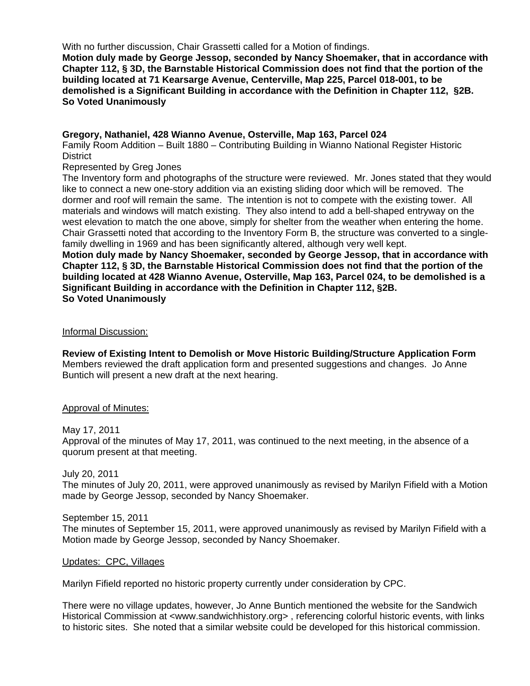With no further discussion, Chair Grassetti called for a Motion of findings.

**Motion duly made by George Jessop, seconded by Nancy Shoemaker, that in accordance with Chapter 112, § 3D, the Barnstable Historical Commission does not find that the portion of the building located at 71 Kearsarge Avenue, Centerville, Map 225, Parcel 018-001, to be demolished is a Significant Building in accordance with the Definition in Chapter 112, §2B. So Voted Unanimously** 

### **Gregory, Nathaniel, 428 Wianno Avenue, Osterville, Map 163, Parcel 024**

Family Room Addition – Built 1880 – Contributing Building in Wianno National Register Historic **District** 

Represented by Greg Jones

The Inventory form and photographs of the structure were reviewed. Mr. Jones stated that they would like to connect a new one-story addition via an existing sliding door which will be removed. The dormer and roof will remain the same. The intention is not to compete with the existing tower. All materials and windows will match existing. They also intend to add a bell-shaped entryway on the west elevation to match the one above, simply for shelter from the weather when entering the home. Chair Grassetti noted that according to the Inventory Form B, the structure was converted to a singlefamily dwelling in 1969 and has been significantly altered, although very well kept.

**Motion duly made by Nancy Shoemaker, seconded by George Jessop, that in accordance with Chapter 112, § 3D, the Barnstable Historical Commission does not find that the portion of the building located at 428 Wianno Avenue, Osterville, Map 163, Parcel 024, to be demolished is a Significant Building in accordance with the Definition in Chapter 112, §2B. So Voted Unanimously** 

### Informal Discussion:

**Review of Existing Intent to Demolish or Move Historic Building/Structure Application Form**  Members reviewed the draft application form and presented suggestions and changes. Jo Anne Buntich will present a new draft at the next hearing.

### Approval of Minutes:

### May 17, 2011

Approval of the minutes of May 17, 2011, was continued to the next meeting, in the absence of a quorum present at that meeting.

July 20, 2011

The minutes of July 20, 2011, were approved unanimously as revised by Marilyn Fifield with a Motion made by George Jessop, seconded by Nancy Shoemaker.

### September 15, 2011

The minutes of September 15, 2011, were approved unanimously as revised by Marilyn Fifield with a Motion made by George Jessop, seconded by Nancy Shoemaker.

### Updates: CPC, Villages

Marilyn Fifield reported no historic property currently under consideration by CPC.

There were no village updates, however, Jo Anne Buntich mentioned the website for the Sandwich Historical Commission at <www.sandwichhistory.org>, referencing colorful historic events, with links to historic sites. She noted that a similar website could be developed for this historical commission.